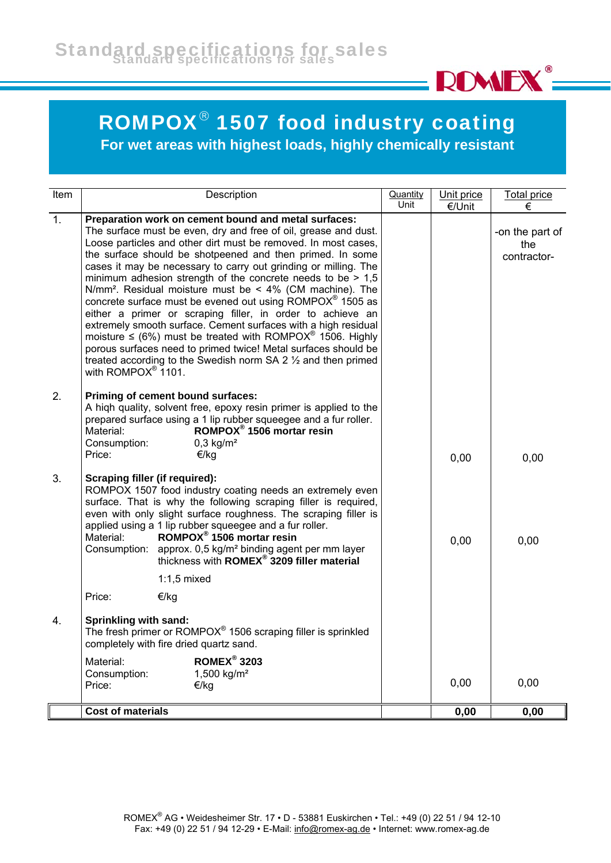

## ROMPOX® 1507 food industry coating

**For wet areas with highest loads, highly chemically resistant**

| <b>Item</b>      | Description                                                                                                                                                                                                                                                                                                                                                                                                                                                                                                                                                                                                                                                                                                                                                                                                                                                                                                                    | Quantity<br>Unit | Unit price<br>€/Unit | <b>Total price</b><br>€               |
|------------------|--------------------------------------------------------------------------------------------------------------------------------------------------------------------------------------------------------------------------------------------------------------------------------------------------------------------------------------------------------------------------------------------------------------------------------------------------------------------------------------------------------------------------------------------------------------------------------------------------------------------------------------------------------------------------------------------------------------------------------------------------------------------------------------------------------------------------------------------------------------------------------------------------------------------------------|------------------|----------------------|---------------------------------------|
| $\overline{1}$ . | Preparation work on cement bound and metal surfaces:<br>The surface must be even, dry and free of oil, grease and dust.<br>Loose particles and other dirt must be removed. In most cases,<br>the surface should be shotpeened and then primed. In some<br>cases it may be necessary to carry out grinding or milling. The<br>minimum adhesion strength of the concrete needs to be $> 1.5$<br>N/mm <sup>2</sup> . Residual moisture must be < 4% (CM machine). The<br>concrete surface must be evened out using ROMPOX <sup>®</sup> 1505 as<br>either a primer or scraping filler, in order to achieve an<br>extremely smooth surface. Cement surfaces with a high residual<br>moisture $\le$ (6%) must be treated with ROMPOX <sup>®</sup> 1506. Highly<br>porous surfaces need to primed twice! Metal surfaces should be<br>treated according to the Swedish norm SA 2 1/2 and then primed<br>with ROMPOX <sup>®</sup> 1101. |                  |                      | -on the part of<br>the<br>contractor- |
| 2.               | Priming of cement bound surfaces:<br>A high quality, solvent free, epoxy resin primer is applied to the<br>prepared surface using a 1 lip rubber squeegee and a fur roller.<br>ROMPOX <sup>®</sup> 1506 mortar resin<br>Material:<br>$0,3$ kg/m <sup>2</sup><br>Consumption:<br>Price:<br>€/kg                                                                                                                                                                                                                                                                                                                                                                                                                                                                                                                                                                                                                                 |                  | 0,00                 | 0,00                                  |
| 3.               | Scraping filler (if required):<br>ROMPOX 1507 food industry coating needs an extremely even<br>surface. That is why the following scraping filler is required,<br>even with only slight surface roughness. The scraping filler is<br>applied using a 1 lip rubber squeegee and a fur roller.<br>ROMPOX <sup>®</sup> 1506 mortar resin<br>Material:<br>Consumption: approx. $0.5 \text{ kg/m}^2$ binding agent per mm layer<br>thickness with <b>ROMEX<sup>®</sup> 3209 filler material</b>                                                                                                                                                                                                                                                                                                                                                                                                                                     |                  | 0,00                 | 0,00                                  |
|                  | $1:1,5$ mixed<br>Price:                                                                                                                                                                                                                                                                                                                                                                                                                                                                                                                                                                                                                                                                                                                                                                                                                                                                                                        |                  |                      |                                       |
| 4.               | €/kg<br>Sprinkling with sand:<br>The fresh primer or ROMPOX <sup>®</sup> 1506 scraping filler is sprinkled<br>completely with fire dried quartz sand.<br><b>ROMEX<sup>®</sup> 3203</b><br>Material:<br>Consumption:<br>1,500 kg/m <sup>2</sup>                                                                                                                                                                                                                                                                                                                                                                                                                                                                                                                                                                                                                                                                                 |                  |                      |                                       |
|                  | Price:<br>€/kg                                                                                                                                                                                                                                                                                                                                                                                                                                                                                                                                                                                                                                                                                                                                                                                                                                                                                                                 |                  | 0,00                 | 0,00                                  |
|                  | <b>Cost of materials</b>                                                                                                                                                                                                                                                                                                                                                                                                                                                                                                                                                                                                                                                                                                                                                                                                                                                                                                       |                  | 0,00                 | 0,00                                  |